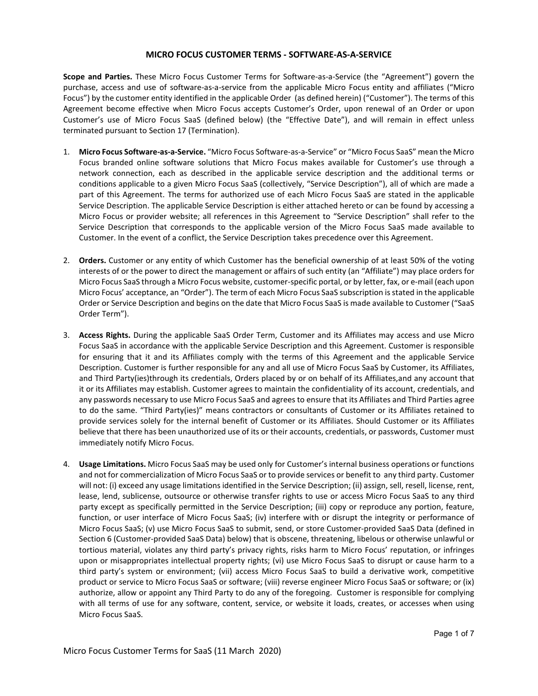## **MICRO FOCUS CUSTOMER TERMS - SOFTWARE-AS-A-SERVICE**

**Scope and Parties.** These Micro Focus Customer Terms for Software-as-a-Service (the "Agreement") govern the purchase, access and use of software-as-a-service from the applicable Micro Focus entity and affiliates ("Micro Focus") by the customer entity identified in the applicable Order (as defined herein) ("Customer"). The terms of this Agreement become effective when Micro Focus accepts Customer's Order, upon renewal of an Order or upon Customer's use of Micro Focus SaaS (defined below) (the "Effective Date"), and will remain in effect unless terminated pursuant to Section 17 (Termination).

- 1. **Micro Focus Software-as-a-Service.** "Micro Focus Software-as-a-Service" or "Micro Focus SaaS" mean the Micro Focus branded online software solutions that Micro Focus makes available for Customer's use through a network connection, each as described in the applicable service description and the additional terms or conditions applicable to a given Micro Focus SaaS (collectively, "Service Description"), all of which are made a part of this Agreement. The terms for authorized use of each Micro Focus SaaS are stated in the applicable Service Description. The applicable Service Description is either attached hereto or can be found by accessing a Micro Focus or provider website; all references in this Agreement to "Service Description" shall refer to the Service Description that corresponds to the applicable version of the Micro Focus SaaS made available to Customer. In the event of a conflict, the Service Description takes precedence over this Agreement.
- 2. **Orders.** Customer or any entity of which Customer has the beneficial ownership of at least 50% of the voting interests of or the power to direct the management or affairs of such entity (an "Affiliate") may place orders for Micro Focus SaaS through a Micro Focus website, customer-specific portal, or by letter, fax, or e-mail (each upon Micro Focus' acceptance, an "Order"). The term of each Micro Focus SaaS subscription is stated in the applicable Order or Service Description and begins on the date that Micro Focus SaaS is made available to Customer ("SaaS Order Term").
- 3. **Access Rights.** During the applicable SaaS Order Term, Customer and its Affiliates may access and use Micro Focus SaaS in accordance with the applicable Service Description and this Agreement. Customer is responsible for ensuring that it and its Affiliates comply with the terms of this Agreement and the applicable Service Description. Customer is further responsible for any and all use of Micro Focus SaaS by Customer, its Affiliates, and Third Party(ies)through its credentials, Orders placed by or on behalf of its Affiliates,and any account that it or its Affiliates may establish. Customer agrees to maintain the confidentiality of its account, credentials, and any passwords necessary to use Micro Focus SaaS and agrees to ensure that its Affiliates and Third Parties agree to do the same. "Third Party(ies)" means contractors or consultants of Customer or its Affiliates retained to provide services solely for the internal benefit of Customer or its Affiliates. Should Customer or its Affiliates believe that there has been unauthorized use of its or their accounts, credentials, or passwords, Customer must immediately notify Micro Focus.
- 4. **Usage Limitations.** Micro Focus SaaS may be used only for Customer's internal business operations or functions and not for commercialization of Micro Focus SaaS or to provide services or benefit to any third party. Customer will not: (i) exceed any usage limitations identified in the Service Description; (ii) assign, sell, resell, license, rent, lease, lend, sublicense, outsource or otherwise transfer rights to use or access Micro Focus SaaS to any third party except as specifically permitted in the Service Description; (iii) copy or reproduce any portion, feature, function, or user interface of Micro Focus SaaS; (iv) interfere with or disrupt the integrity or performance of Micro Focus SaaS; (v) use Micro Focus SaaS to submit, send, or store Customer-provided SaaS Data (defined in Section 6 (Customer-provided SaaS Data) below) that is obscene, threatening, libelous or otherwise unlawful or tortious material, violates any third party's privacy rights, risks harm to Micro Focus' reputation, or infringes upon or misappropriates intellectual property rights; (vi) use Micro Focus SaaS to disrupt or cause harm to a third party's system or environment; (vii) access Micro Focus SaaS to build a derivative work, competitive product or service to Micro Focus SaaS or software; (viii) reverse engineer Micro Focus SaaS or software; or (ix) authorize, allow or appoint any Third Party to do any of the foregoing. Customer is responsible for complying with all terms of use for any software, content, service, or website it loads, creates, or accesses when using Micro Focus SaaS.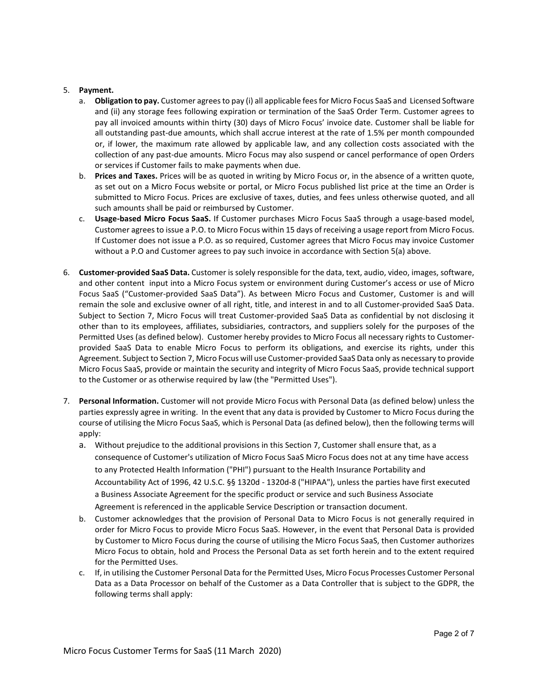## 5. **Payment.**

- a. **Obligation to pay.** Customer agrees to pay (i) all applicable fees for Micro Focus SaaS and Licensed Software and (ii) any storage fees following expiration or termination of the SaaS Order Term. Customer agrees to pay all invoiced amounts within thirty (30) days of Micro Focus' invoice date. Customer shall be liable for all outstanding past-due amounts, which shall accrue interest at the rate of 1.5% per month compounded or, if lower, the maximum rate allowed by applicable law, and any collection costs associated with the collection of any past-due amounts. Micro Focus may also suspend or cancel performance of open Orders or services if Customer fails to make payments when due.
- b. **Prices and Taxes.** Prices will be as quoted in writing by Micro Focus or, in the absence of a written quote, as set out on a Micro Focus website or portal, or Micro Focus published list price at the time an Order is submitted to Micro Focus. Prices are exclusive of taxes, duties, and fees unless otherwise quoted, and all such amounts shall be paid or reimbursed by Customer.
- c. **Usage-based Micro Focus SaaS.** If Customer purchases Micro Focus SaaS through a usage-based model, Customer agrees to issue a P.O. to Micro Focus within 15 days of receiving a usage report from Micro Focus. If Customer does not issue a P.O. as so required, Customer agrees that Micro Focus may invoice Customer without a P.O and Customer agrees to pay such invoice in accordance with Section 5(a) above.
- 6. **Customer-provided SaaS Data.** Customer is solely responsible for the data, text, audio, video, images, software, and other content input into a Micro Focus system or environment during Customer's access or use of Micro Focus SaaS ("Customer-provided SaaS Data"). As between Micro Focus and Customer, Customer is and will remain the sole and exclusive owner of all right, title, and interest in and to all Customer-provided SaaS Data. Subject to Section 7, Micro Focus will treat Customer-provided SaaS Data as confidential by not disclosing it other than to its employees, affiliates, subsidiaries, contractors, and suppliers solely for the purposes of the Permitted Uses (as defined below). Customer hereby provides to Micro Focus all necessary rights to Customerprovided SaaS Data to enable Micro Focus to perform its obligations, and exercise its rights, under this Agreement. Subject to Section 7, Micro Focus will use Customer-provided SaaS Data only as necessary to provide Micro Focus SaaS, provide or maintain the security and integrity of Micro Focus SaaS, provide technical support to the Customer or as otherwise required by law (the "Permitted Uses").
- 7. **Personal Information.** Customer will not provide Micro Focus with Personal Data (as defined below) unless the parties expressly agree in writing. In the event that any data is provided by Customer to Micro Focus during the course of utilising the Micro Focus SaaS, which is Personal Data (as defined below), then the following terms will apply:
	- a. Without prejudice to the additional provisions in this Section 7, Customer shall ensure that, as a consequence of Customer's utilization of Micro Focus SaaS Micro Focus does not at any time have access to any Protected Health Information ("PHI") pursuant to the Health Insurance Portability and Accountability Act of 1996, 42 U.S.C. §§ 1320d - 1320d-8 ("HIPAA"), unless the parties have first executed a Business Associate Agreement for the specific product or service and such Business Associate Agreement is referenced in the applicable Service Description or transaction document.
	- b. Customer acknowledges that the provision of Personal Data to Micro Focus is not generally required in order for Micro Focus to provide Micro Focus SaaS. However, in the event that Personal Data is provided by Customer to Micro Focus during the course of utilising the Micro Focus SaaS, then Customer authorizes Micro Focus to obtain, hold and Process the Personal Data as set forth herein and to the extent required for the Permitted Uses.
	- c. If, in utilising the Customer Personal Data for the Permitted Uses, Micro Focus Processes Customer Personal Data as a Data Processor on behalf of the Customer as a Data Controller that is subject to the GDPR, the following terms shall apply: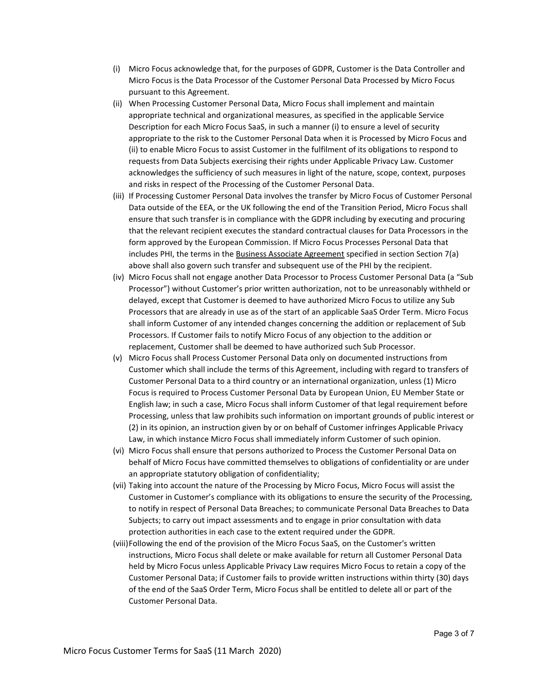- (i) Micro Focus acknowledge that, for the purposes of GDPR, Customer is the Data Controller and Micro Focus is the Data Processor of the Customer Personal Data Processed by Micro Focus pursuant to this Agreement.
- (ii) When Processing Customer Personal Data, Micro Focus shall implement and maintain appropriate technical and organizational measures, as specified in the applicable Service Description for each Micro Focus SaaS, in such a manner (i) to ensure a level of security appropriate to the risk to the Customer Personal Data when it is Processed by Micro Focus and (ii) to enable Micro Focus to assist Customer in the fulfilment of its obligations to respond to requests from Data Subjects exercising their rights under Applicable Privacy Law. Customer acknowledges the sufficiency of such measures in light of the nature, scope, context, purposes and risks in respect of the Processing of the Customer Personal Data.
- (iii) If Processing Customer Personal Data involves the transfer by Micro Focus of Customer Personal Data outside of the EEA, or the UK following the end of the Transition Period, Micro Focus shall ensure that such transfer is in compliance with the GDPR including by executing and procuring that the relevant recipient executes the standard contractual clauses for Data Processors in the form approved by the European Commission. If Micro Focus Processes Personal Data that includes PHI, the terms in the Business Associate Agreement specified in section Section 7(a) above shall also govern such transfer and subsequent use of the PHI by the recipient.
- (iv) Micro Focus shall not engage another Data Processor to Process Customer Personal Data (a "Sub Processor") without Customer's prior written authorization, not to be unreasonably withheld or delayed, except that Customer is deemed to have authorized Micro Focus to utilize any Sub Processors that are already in use as of the start of an applicable SaaS Order Term. Micro Focus shall inform Customer of any intended changes concerning the addition or replacement of Sub Processors. If Customer fails to notify Micro Focus of any objection to the addition or replacement, Customer shall be deemed to have authorized such Sub Processor.
- (v) Micro Focus shall Process Customer Personal Data only on documented instructions from Customer which shall include the terms of this Agreement, including with regard to transfers of Customer Personal Data to a third country or an international organization, unless (1) Micro Focus is required to Process Customer Personal Data by European Union, EU Member State or English law; in such a case, Micro Focus shall inform Customer of that legal requirement before Processing, unless that law prohibits such information on important grounds of public interest or (2) in its opinion, an instruction given by or on behalf of Customer infringes Applicable Privacy Law, in which instance Micro Focus shall immediately inform Customer of such opinion.
- (vi) Micro Focus shall ensure that persons authorized to Process the Customer Personal Data on behalf of Micro Focus have committed themselves to obligations of confidentiality or are under an appropriate statutory obligation of confidentiality;
- (vii) Taking into account the nature of the Processing by Micro Focus, Micro Focus will assist the Customer in Customer's compliance with its obligations to ensure the security of the Processing, to notify in respect of Personal Data Breaches; to communicate Personal Data Breaches to Data Subjects; to carry out impact assessments and to engage in prior consultation with data protection authorities in each case to the extent required under the GDPR.
- (viii)Following the end of the provision of the Micro Focus SaaS, on the Customer's written instructions, Micro Focus shall delete or make available for return all Customer Personal Data held by Micro Focus unless Applicable Privacy Law requires Micro Focus to retain a copy of the Customer Personal Data; if Customer fails to provide written instructions within thirty (30) days of the end of the SaaS Order Term, Micro Focus shall be entitled to delete all or part of the Customer Personal Data.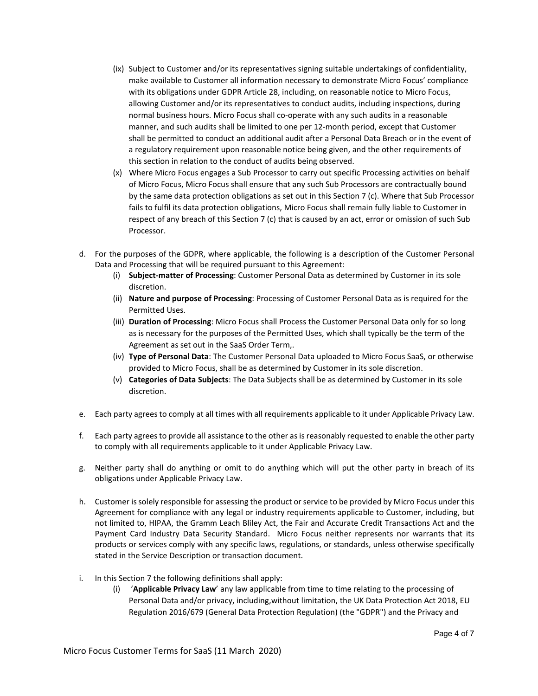- (ix) Subject to Customer and/or its representatives signing suitable undertakings of confidentiality, make available to Customer all information necessary to demonstrate Micro Focus' compliance with its obligations under GDPR Article 28, including, on reasonable notice to Micro Focus, allowing Customer and/or its representatives to conduct audits, including inspections, during normal business hours. Micro Focus shall co-operate with any such audits in a reasonable manner, and such audits shall be limited to one per 12-month period, except that Customer shall be permitted to conduct an additional audit after a Personal Data Breach or in the event of a regulatory requirement upon reasonable notice being given, and the other requirements of this section in relation to the conduct of audits being observed.
- (x) Where Micro Focus engages a Sub Processor to carry out specific Processing activities on behalf of Micro Focus, Micro Focus shall ensure that any such Sub Processors are contractually bound by the same data protection obligations as set out in this Section 7 (c). Where that Sub Processor fails to fulfil its data protection obligations, Micro Focus shall remain fully liable to Customer in respect of any breach of this Section 7 (c) that is caused by an act, error or omission of such Sub Processor.
- d. For the purposes of the GDPR, where applicable, the following is a description of the Customer Personal Data and Processing that will be required pursuant to this Agreement:
	- (i) **Subject-matter of Processing**: Customer Personal Data as determined by Customer in its sole discretion.
	- (ii) **Nature and purpose of Processing**: Processing of Customer Personal Data as is required for the Permitted Uses.
	- (iii) **Duration of Processing**: Micro Focus shall Process the Customer Personal Data only for so long as is necessary for the purposes of the Permitted Uses, which shall typically be the term of the Agreement as set out in the SaaS Order Term,.
	- (iv) **Type of Personal Data**: The Customer Personal Data uploaded to Micro Focus SaaS, or otherwise provided to Micro Focus, shall be as determined by Customer in its sole discretion.
	- (v) **Categories of Data Subjects**: The Data Subjects shall be as determined by Customer in its sole discretion.
- e. Each party agrees to comply at all times with all requirements applicable to it under Applicable Privacy Law.
- f. Each party agrees to provide all assistance to the other as is reasonably requested to enable the other party to comply with all requirements applicable to it under Applicable Privacy Law.
- g. Neither party shall do anything or omit to do anything which will put the other party in breach of its obligations under Applicable Privacy Law.
- h. Customer is solely responsible for assessing the product or service to be provided by Micro Focus under this Agreement for compliance with any legal or industry requirements applicable to Customer, including, but not limited to, HIPAA, the Gramm Leach Bliley Act, the Fair and Accurate Credit Transactions Act and the Payment Card Industry Data Security Standard. Micro Focus neither represents nor warrants that its products or services comply with any specific laws, regulations, or standards, unless otherwise specifically stated in the Service Description or transaction document.
- i. In this Section 7 the following definitions shall apply:
	- (i) '**Applicable Privacy Law**' any law applicable from time to time relating to the processing of Personal Data and/or privacy, including,without limitation, the UK Data Protection Act 2018, EU Regulation 2016/679 (General Data Protection Regulation) (the "GDPR") and the Privacy and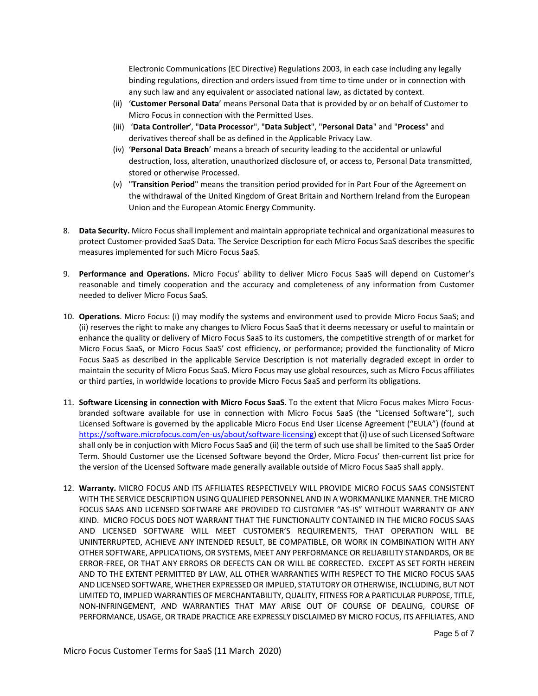Electronic Communications (EC Directive) Regulations 2003, in each case including any legally binding regulations, direction and orders issued from time to time under or in connection with any such law and any equivalent or associated national law, as dictated by context.

- (ii) '**Customer Personal Data**' means Personal Data that is provided by or on behalf of Customer to Micro Focus in connection with the Permitted Uses.
- (iii) '**Data Controller'**, "**Data Processor**", "**Data Subject**", "**Personal Data**" and "**Process**" and derivatives thereof shall be as defined in the Applicable Privacy Law.
- (iv) '**Personal Data Breach**' means a breach of security leading to the accidental or unlawful destruction, loss, alteration, unauthorized disclosure of, or access to, Personal Data transmitted, stored or otherwise Processed.
- (v) "**Transition Period**" means the transition period provided for in Part Four of the Agreement on the withdrawal of the United Kingdom of Great Britain and Northern Ireland from the European Union and the European Atomic Energy Community.
- 8. **Data Security.** Micro Focus shall implement and maintain appropriate technical and organizational measures to protect Customer-provided SaaS Data. The Service Description for each Micro Focus SaaS describes the specific measures implemented for such Micro Focus SaaS.
- 9. **Performance and Operations.** Micro Focus' ability to deliver Micro Focus SaaS will depend on Customer's reasonable and timely cooperation and the accuracy and completeness of any information from Customer needed to deliver Micro Focus SaaS.
- 10. **Operations**. Micro Focus: (i) may modify the systems and environment used to provide Micro Focus SaaS; and (ii) reserves the right to make any changes to Micro Focus SaaS that it deems necessary or useful to maintain or enhance the quality or delivery of Micro Focus SaaS to its customers, the competitive strength of or market for Micro Focus SaaS, or Micro Focus SaaS' cost efficiency, or performance; provided the functionality of Micro Focus SaaS as described in the applicable Service Description is not materially degraded except in order to maintain the security of Micro Focus SaaS. Micro Focus may use global resources, such as Micro Focus affiliates or third parties, in worldwide locations to provide Micro Focus SaaS and perform its obligations.
- 11. **Software Licensing in connection with Micro Focus SaaS**. To the extent that Micro Focus makes Micro Focusbranded software available for use in connection with Micro Focus SaaS (the "Licensed Software"), such Licensed Software is governed by the applicable Micro Focus End User License Agreement ("EULA") (found at [https://software.microfocus.com/en-us/about/software-licensing\)](https://software.microfocus.com/en-us/about/software-licensing) except that (i) use of such Licensed Software shall only be in conjuction with Micro Focus SaaS and (ii) the term of such use shall be limited to the SaaS Order Term. Should Customer use the Licensed Software beyond the Order, Micro Focus' then-current list price for the version of the Licensed Software made generally available outside of Micro Focus SaaS shall apply.
- 12. **Warranty.** MICRO FOCUS AND ITS AFFILIATES RESPECTIVELY WILL PROVIDE MICRO FOCUS SAAS CONSISTENT WITH THE SERVICE DESCRIPTION USING QUALIFIED PERSONNEL AND IN A WORKMANLIKE MANNER. THE MICRO FOCUS SAAS AND LICENSED SOFTWARE ARE PROVIDED TO CUSTOMER "AS-IS" WITHOUT WARRANTY OF ANY KIND. MICRO FOCUS DOES NOT WARRANT THAT THE FUNCTIONALITY CONTAINED IN THE MICRO FOCUS SAAS AND LICENSED SOFTWARE WILL MEET CUSTOMER'S REQUIREMENTS, THAT OPERATION WILL BE UNINTERRUPTED, ACHIEVE ANY INTENDED RESULT, BE COMPATIBLE, OR WORK IN COMBINATION WITH ANY OTHER SOFTWARE, APPLICATIONS, OR SYSTEMS, MEET ANY PERFORMANCE OR RELIABILITY STANDARDS, OR BE ERROR-FREE, OR THAT ANY ERRORS OR DEFECTS CAN OR WILL BE CORRECTED. EXCEPT AS SET FORTH HEREIN AND TO THE EXTENT PERMITTED BY LAW, ALL OTHER WARRANTIES WITH RESPECT TO THE MICRO FOCUS SAAS AND LICENSED SOFTWARE, WHETHER EXPRESSED OR IMPLIED, STATUTORY OR OTHERWISE, INCLUDING, BUT NOT LIMITED TO, IMPLIED WARRANTIES OF MERCHANTABILITY, QUALITY, FITNESS FOR A PARTICULAR PURPOSE, TITLE, NON-INFRINGEMENT, AND WARRANTIES THAT MAY ARISE OUT OF COURSE OF DEALING, COURSE OF PERFORMANCE, USAGE, OR TRADE PRACTICE ARE EXPRESSLY DISCLAIMED BY MICRO FOCUS, ITS AFFILIATES, AND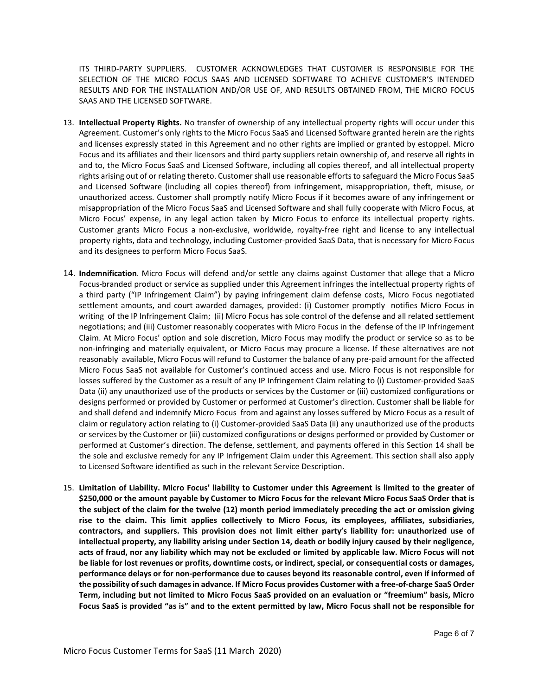ITS THIRD-PARTY SUPPLIERS. CUSTOMER ACKNOWLEDGES THAT CUSTOMER IS RESPONSIBLE FOR THE SELECTION OF THE MICRO FOCUS SAAS AND LICENSED SOFTWARE TO ACHIEVE CUSTOMER'S INTENDED RESULTS AND FOR THE INSTALLATION AND/OR USE OF, AND RESULTS OBTAINED FROM, THE MICRO FOCUS SAAS AND THE LICENSED SOFTWARE.

- 13. **Intellectual Property Rights.** No transfer of ownership of any intellectual property rights will occur under this Agreement. Customer's only rights to the Micro Focus SaaS and Licensed Software granted herein are the rights and licenses expressly stated in this Agreement and no other rights are implied or granted by estoppel. Micro Focus and its affiliates and their licensors and third party suppliers retain ownership of, and reserve all rights in and to, the Micro Focus SaaS and Licensed Software, including all copies thereof, and all intellectual property rights arising out of or relating thereto. Customer shall use reasonable efforts to safeguard the Micro Focus SaaS and Licensed Software (including all copies thereof) from infringement, misappropriation, theft, misuse, or unauthorized access. Customer shall promptly notify Micro Focus if it becomes aware of any infringement or misappropriation of the Micro Focus SaaS and Licensed Software and shall fully cooperate with Micro Focus, at Micro Focus' expense, in any legal action taken by Micro Focus to enforce its intellectual property rights. Customer grants Micro Focus a non-exclusive, worldwide, royalty-free right and license to any intellectual property rights, data and technology, including Customer-provided SaaS Data, that is necessary for Micro Focus and its designees to perform Micro Focus SaaS.
- 14. **Indemnification**. Micro Focus will defend and/or settle any claims against Customer that allege that a Micro Focus-branded product or service as supplied under this Agreement infringes the intellectual property rights of a third party ("IP Infringement Claim") by paying infringement claim defense costs, Micro Focus negotiated settlement amounts, and court awarded damages, provided: (i) Customer promptly notifies Micro Focus in writing of the IP Infringement Claim; (ii) Micro Focus has sole control of the defense and all related settlement negotiations; and (iii) Customer reasonably cooperates with Micro Focus in the defense of the IP Infringement Claim. At Micro Focus' option and sole discretion, Micro Focus may modify the product or service so as to be non-infringing and materially equivalent, or Micro Focus may procure a license. If these alternatives are not reasonably available, Micro Focus will refund to Customer the balance of any pre-paid amount for the affected Micro Focus SaaS not available for Customer's continued access and use. Micro Focus is not responsible for losses suffered by the Customer as a result of any IP Infringement Claim relating to (i) Customer-provided SaaS Data (ii) any unauthorized use of the products or services by the Customer or (iii) customized configurations or designs performed or provided by Customer or performed at Customer's direction. Customer shall be liable for and shall defend and indemnify Micro Focus from and against any losses suffered by Micro Focus as a result of claim or regulatory action relating to (i) Customer-provided SaaS Data (ii) any unauthorized use of the products or services by the Customer or (iii) customized configurations or designs performed or provided by Customer or performed at Customer's direction. The defense, settlement, and payments offered in this Section 14 shall be the sole and exclusive remedy for any IP Infrigement Claim under this Agreement. This section shall also apply to Licensed Software identified as such in the relevant Service Description.
- 15. **Limitation of Liability. Micro Focus' liability to Customer under this Agreement is limited to the greater of \$250,000 or the amount payable by Customer to Micro Focus for the relevant Micro Focus SaaS Order that is the subject of the claim for the twelve (12) month period immediately preceding the act or omission giving rise to the claim. This limit applies collectively to Micro Focus, its employees, affiliates, subsidiaries, contractors, and suppliers. This provision does not limit either party's liability for: unauthorized use of intellectual property, any liability arising under Section 14, death or bodily injury caused by their negligence, acts of fraud, nor any liability which may not be excluded or limited by applicable law. Micro Focus will not be liable for lost revenues or profits, downtime costs, or indirect, special, or consequential costs or damages, performance delays or for non-performance due to causes beyond its reasonable control, even if informed of the possibility of such damages in advance. If Micro Focus provides Customer with a free-of-charge SaaS Order Term, including but not limited to Micro Focus SaaS provided on an evaluation or "freemium" basis, Micro Focus SaaS is provided "as is" and to the extent permitted by law, Micro Focus shall not be responsible for**